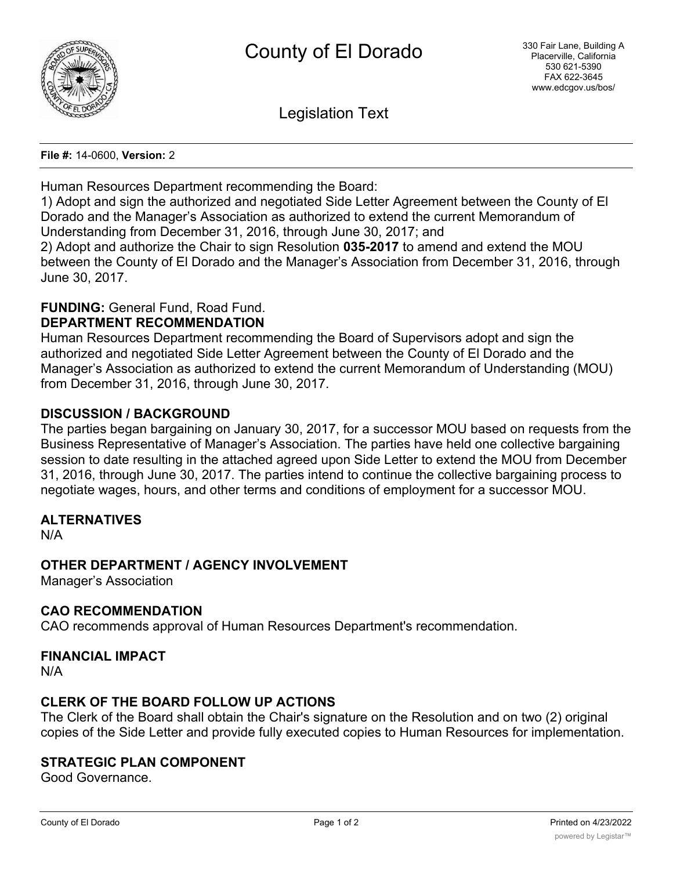

Legislation Text

**File #:** 14-0600, **Version:** 2

Human Resources Department recommending the Board:

1) Adopt and sign the authorized and negotiated Side Letter Agreement between the County of El Dorado and the Manager's Association as authorized to extend the current Memorandum of Understanding from December 31, 2016, through June 30, 2017; and

2) Adopt and authorize the Chair to sign Resolution **035-2017** to amend and extend the MOU between the County of El Dorado and the Manager's Association from December 31, 2016, through June 30, 2017.

# **FUNDING:** General Fund, Road Fund.

## **DEPARTMENT RECOMMENDATION**

Human Resources Department recommending the Board of Supervisors adopt and sign the authorized and negotiated Side Letter Agreement between the County of El Dorado and the Manager's Association as authorized to extend the current Memorandum of Understanding (MOU) from December 31, 2016, through June 30, 2017.

# **DISCUSSION / BACKGROUND**

The parties began bargaining on January 30, 2017, for a successor MOU based on requests from the Business Representative of Manager's Association. The parties have held one collective bargaining session to date resulting in the attached agreed upon Side Letter to extend the MOU from December 31, 2016, through June 30, 2017. The parties intend to continue the collective bargaining process to negotiate wages, hours, and other terms and conditions of employment for a successor MOU.

#### **ALTERNATIVES**

N/A

# **OTHER DEPARTMENT / AGENCY INVOLVEMENT**

Manager's Association

#### **CAO RECOMMENDATION**

CAO recommends approval of Human Resources Department's recommendation.

#### **FINANCIAL IMPACT**

N/A

## **CLERK OF THE BOARD FOLLOW UP ACTIONS**

The Clerk of the Board shall obtain the Chair's signature on the Resolution and on two (2) original copies of the Side Letter and provide fully executed copies to Human Resources for implementation.

## **STRATEGIC PLAN COMPONENT**

Good Governance.